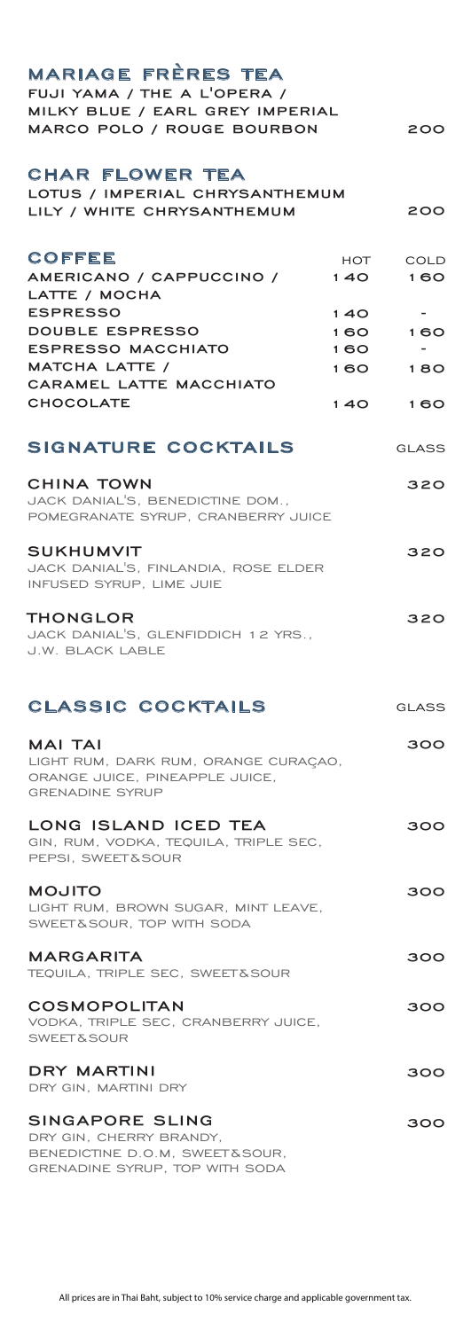| <b>MARIAGE FRÈRES TEA</b><br>FUJI YAMA / THE A L'OPERA /<br>MILKY BLUE / EARL GREY IMPERIAL                        |            |                    |
|--------------------------------------------------------------------------------------------------------------------|------------|--------------------|
| MARCO POLO / ROUGE BOURBON                                                                                         |            | 200                |
| <b>CHAR FLOWER TEA</b><br>LOTUS / IMPERIAL CHRYSANTHEMUM<br>LILY / WHITE CHRYSANTHEMUM                             |            | 200                |
| <b>COFFEE</b><br>AMERICANO / CAPPUCCINO /<br>LATTE / MOCHA                                                         | HOT<br>140 | <b>COLD</b><br>160 |
| <b>ESPRESSO</b>                                                                                                    | 140        |                    |
| <b>DOUBLE ESPRESSO</b>                                                                                             | 1 60       | 160                |
| <b>ESPRESSO MACCHIATO</b>                                                                                          | 1 60       |                    |
| MATCHA LATTE /                                                                                                     | 160        | 180                |
| CARAMEL LATTE MACCHIATO                                                                                            |            |                    |
| <b>CHOCOLATE</b>                                                                                                   | 140        | 160                |
| <b>SIGNATURE COCKTAILS</b>                                                                                         |            | GLASS              |
| <b>CHINA TOWN</b><br>JACK DANIAL'S, BENEDICTINE DOM<br>POMEGRANATE SYRUP, CRANBERRY JUICE                          |            | 320                |
| <b>SUKHUMVIT</b><br>JACK DANIAL'S, FINLANDIA, ROSE ELDER<br>INFUSED SYRUP, LIME JUIE                               |            | 320                |
| THONGLOR<br>JACK DANIAL'S, GLENFIDDICH 12 YRS.,<br><b>J.W. BLACK LABLE</b>                                         |            | 320                |
| <b>CLASSIC COCKTAILS</b>                                                                                           |            | <b>GLASS</b>       |
| <b>MAI TAI</b><br>LIGHT RUM, DARK RUM, ORANGE CURAÇAO,<br>ORANGE JUICE, PINEAPPLE JUICE,<br><b>GRENADINE SYRUP</b> |            | 300                |
| LONG ISLAND ICED TEA<br>GIN, RUM, VODKA, TEQUILA, TRIPLE SEC,<br>PEPSI, SWEET&SOUR                                 |            | 300                |
| <b>MOJITO</b><br>LIGHT RUM, BROWN SUGAR, MINT LEAVE,<br>SWEET&SOUR, TOP WITH SODA                                  |            | 300                |
| <b>MARGARITA</b><br>TEQUILA, TRIPLE SEC, SWEET & SOUR                                                              |            | 300                |
| <b>COSMOPOLITAN</b><br>VODKA, TRIPLE SEC, CRANBERRY JUICE,<br><b>SWEET&amp;SOUR</b>                                |            | 300                |
| DRY MARTINI<br>DRY GIN, MARTINI DRY                                                                                |            | 300                |
| SINGAPORE SLING                                                                                                    |            | 300                |

DRY GIN, CHERRY BRANDY, BENEDICTINE D.O.M, SWEET &SOUR, GRENADINE SYRUP, TOP WITH SODA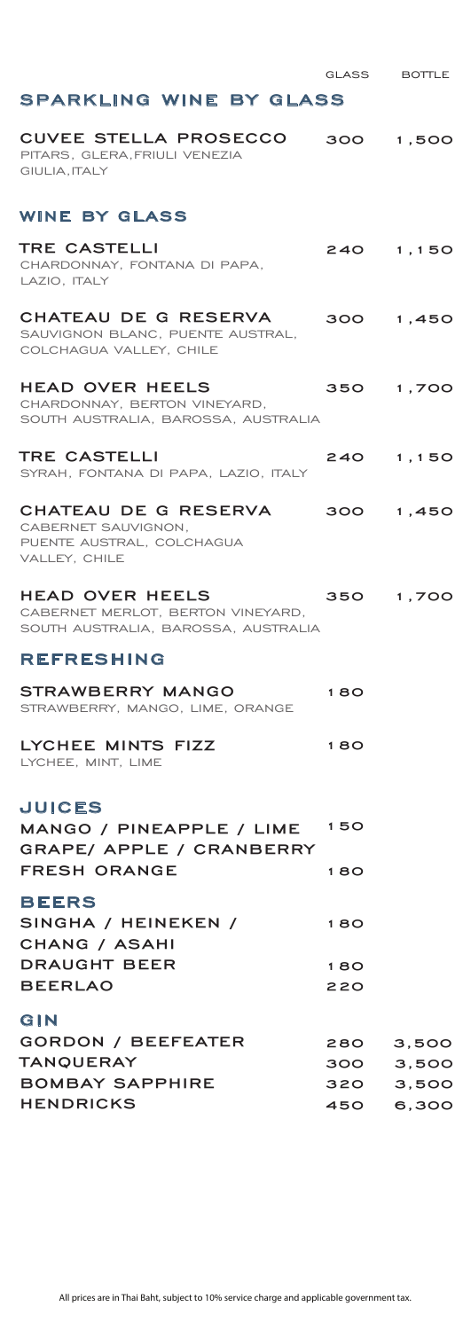## **SPARKLING WINE BY GLASS**

| CUVEE STELLA PROSECCO<br>PITARS, GLERA, FRIULI VENEZIA<br>GIULIA, ITALY                          |                     | 300 1,500               |
|--------------------------------------------------------------------------------------------------|---------------------|-------------------------|
| <b>WINE BY GLASS</b>                                                                             |                     |                         |
| <b>TRE CASTELLI</b><br>CHARDONNAY, FONTANA DI PAPA,<br>LAZIO, ITALY                              | 240                 | 1,150                   |
| CHATEAU DE G RESERVA<br>SAUVIGNON BLANC, PUENTE AUSTRAL,<br>COLCHAGUA VALLEY, CHILE              |                     | 300 1,450               |
| <b>HEAD OVER HEELS</b><br>CHARDONNAY, BERTON VINEYARD,<br>SOUTH AUSTRALIA, BAROSSA, AUSTRALIA    |                     | 350 1,700               |
| TRE CASTELLI<br>SYRAH, FONTANA DI PAPA, LAZIO, ITALY                                             | 240                 | 1,150                   |
| CHATEAU DE G RESERVA<br>CABERNET SAUVIGNON,<br>PUENTE AUSTRAL, COLCHAGUA<br>VALLEY, CHILE        |                     | 300 1,450               |
| HEAD OVER HEELS<br>CABERNET MERLOT, BERTON VINEYARD,<br>SOUTH AUSTRALIA, BAROSSA, AUSTRALIA      |                     | 350 1,700               |
| <b>REFRESHING</b>                                                                                |                     |                         |
| <b>STRAWBERRY MANGO</b><br>STRAWBERRY, MANGO, LIME, ORANGE                                       | 180                 |                         |
| LYCHEE MINTS FIZZ<br>LYCHEE, MINT, LIME                                                          | 180                 |                         |
| <b>JUICES</b><br>MANGO / PINEAPPLE / LIME 150<br>GRAPE/ APPLE / CRANBERRY<br><b>FRESH ORANGE</b> | 180                 |                         |
| <b>BEERS</b>                                                                                     |                     |                         |
| SINGHA / HEINEKEN /<br><b>CHANG / ASAHI</b>                                                      | 180                 |                         |
| <b>DRAUGHT BEER</b>                                                                              | 180                 |                         |
| <b>BEERLAO</b>                                                                                   | 220                 |                         |
| GIN<br><b>GORDON / BEEFEATER</b><br><b>TANQUERAY</b><br><b>BOMBAY SAPPHIRE</b>                   | 280<br>300 -<br>320 | 3,500<br>3,500<br>3,500 |
| <b>HENDRICKS</b>                                                                                 | 450                 | 6,300                   |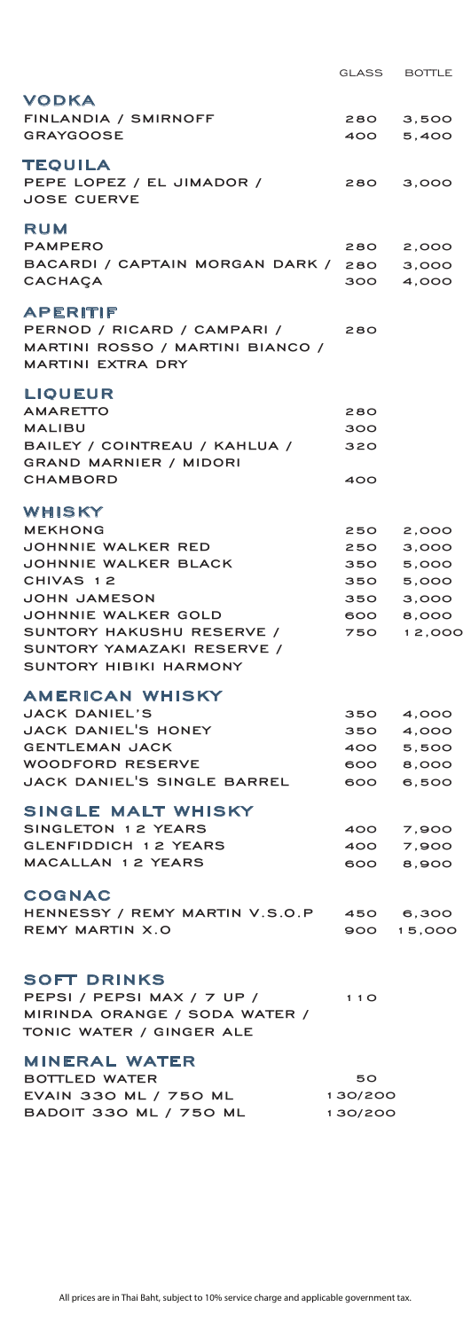|                                  | GLASS   | <b>BOTTLE</b>       |
|----------------------------------|---------|---------------------|
| VODKA                            |         |                     |
| FINLANDIA / SMIRNOFF             | 280     | 3,500               |
| <b>GRAYGOOSE</b>                 | 400     | 5,400               |
|                                  |         |                     |
| TEQUILA                          |         |                     |
| PEPE LOPEZ / EL JIMADOR /        | 280     | 3,000               |
| <b>JOSE CUERVE</b>               |         |                     |
|                                  |         |                     |
| RUM                              |         |                     |
| <b>PAMPERO</b>                   | 280     | 2,000               |
| BACARDI / CAPTAIN MORGAN DARK /  | 280     | 3,000               |
| CACHAÇA                          | 300     | 4,000               |
| APERITIF                         |         |                     |
| PERNOD / RICARD / CAMPARI /      | 280     |                     |
| MARTINI ROSSO / MARTINI BIANCO / |         |                     |
| <b>MARTINI EXTRA DRY</b>         |         |                     |
|                                  |         |                     |
| LIOUEUR                          |         |                     |
| <b>AMARETTO</b>                  | 280     |                     |
| MALIBU                           | 300     |                     |
| BAILEY / COINTREAU / KAHLUA /    | 320     |                     |
| <b>GRAND MARNIER / MIDORI</b>    |         |                     |
| <b>CHAMBORD</b>                  | 400     |                     |
|                                  |         |                     |
| WHISKY                           |         |                     |
| <b>MEKHONG</b>                   | 250     | 2,000               |
| JOHNNIE WALKER RED               | 250     | 3,000               |
| JOHNNIE WALKER BLACK             | 350     | 5,000               |
| CHIVAS 12                        | 350     | 5,000               |
| <b>JOHN JAMESON</b>              | 350 -   | 3,000               |
| JOHNNIE WALKER GOLD              | 600     | 8,000               |
| SUNTORY HAKUSHU RESERVE /        | 750     | 12,000              |
| SUNTORY YAMAZAKI RESERVE /       |         |                     |
| <b>SUNTORY HIBIKI HARMONY</b>    |         |                     |
| <b>AMERICAN WHISKY</b>           |         |                     |
| <b>JACK DANIEL'S</b>             | 350     | 4,000               |
| JACK DANIEL'S HONEY              | 350     | 4,000               |
| <b>GENTLEMAN JACK</b>            | 400     | 5,500               |
| <b>WOODFORD RESERVE</b>          | 600     | 8,000               |
| JACK DANIEL'S SINGLE BARREL      | 600     | 6,500               |
|                                  |         |                     |
| SINGLE MALT WHISKY               |         |                     |
| SINGLETON 12 YEARS               | 400     | 7,900               |
| <b>GLENFIDDICH 12 YEARS</b>      | 400     | 7,900               |
| <b>MACALLAN 12 YEARS</b>         |         | 600 8,900           |
| <b>COGNAC</b>                    |         |                     |
| HENNESSY / REMY MARTIN V.S.O.P   |         |                     |
| <b>REMY MARTIN X.O</b>           | 450     | 6,300<br>900 15,000 |
|                                  |         |                     |
|                                  |         |                     |
| SOFT DRINKS                      |         |                     |
| PEPSI / PEPSI MAX / 7 UP /       | 110     |                     |
| MIRINDA ORANGE / SODA WATER /    |         |                     |
| TONIC WATER / GINGER ALE         |         |                     |
|                                  |         |                     |
| <b>MINERAL WATER</b>             |         |                     |
| <b>BOTTLED WATER</b>             | 50      |                     |
| EVAIN 330 ML / 750 ML            | 130/200 |                     |
| BADOIT 330 ML / 750 ML           | 130/200 |                     |